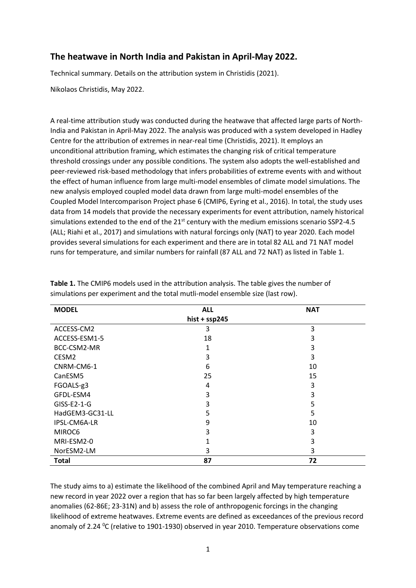## **The heatwave in North India and Pakistan in April-May 2022.**

Technical summary. Details on the attribution system in Christidis (2021).

Nikolaos Christidis, May 2022.

A real-time attribution study was conducted during the heatwave that affected large parts of North-India and Pakistan in April-May 2022. The analysis was produced with a system developed in Hadley Centre for the attribution of extremes in near-real time (Christidis, 2021). It employs an unconditional attribution framing, which estimates the changing risk of critical temperature threshold crossings under any possible conditions. The system also adopts the well-established and peer-reviewed risk-based methodology that infers probabilities of extreme events with and without the effect of human influence from large multi-model ensembles of climate model simulations. The new analysis employed coupled model data drawn from large multi-model ensembles of the Coupled Model Intercomparison Project phase 6 (CMIP6, Eyring et al., 2016). In total, the study uses data from 14 models that provide the necessary experiments for event attribution, namely historical simulations extended to the end of the  $21<sup>st</sup>$  century with the medium emissions scenario SSP2-4.5 (ALL; Riahi et al., 2017) and simulations with natural forcings only (NAT) to year 2020. Each model provides several simulations for each experiment and there are in total 82 ALL and 71 NAT model runs for temperature, and similar numbers for rainfall (87 ALL and 72 NAT) as listed in Table 1.

| <b>MODEL</b>    | <b>ALL</b>     | <b>NAT</b> |
|-----------------|----------------|------------|
|                 | $hist + sp245$ |            |
| ACCESS-CM2      | 3              | 3          |
| ACCESS-ESM1-5   | 18             | 3          |
| BCC-CSM2-MR     |                | 3          |
| CESM2           | 3              | 3          |
| CNRM-CM6-1      | 6              | 10         |
| CanESM5         | 25             | 15         |
| FGOALS-g3       | 4              | 3          |
| GFDL-ESM4       | 3              | 3          |
| $GISS-E2-1-G$   | 3              | 5          |
| HadGEM3-GC31-LL | 5              | 5          |
| IPSL-CM6A-LR    | 9              | 10         |
| MIROC6          | 3              | 3          |
| MRI-ESM2-0      |                | 3          |
| NorESM2-LM      | 3              | 3          |
| <b>Total</b>    | 87             | 72         |

**Table 1.** The CMIP6 models used in the attribution analysis. The table gives the number of simulations per experiment and the total mutli-model ensemble size (last row).

The study aims to a) estimate the likelihood of the combined April and May temperature reaching a new record in year 2022 over a region that has so far been largely affected by high temperature anomalies (62-86E; 23-31N) and b) assess the role of anthropogenic forcings in the changing likelihood of extreme heatwaves. Extreme events are defined as exceedances of the previous record anomaly of 2.24  $^{\circ}$ C (relative to 1901-1930) observed in year 2010. Temperature observations come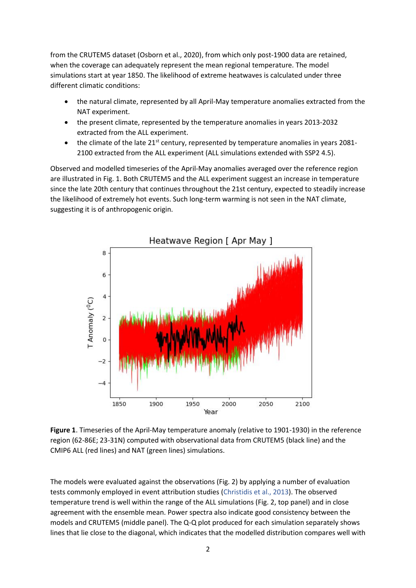from the CRUTEM5 dataset (Osborn et al., 2020), from which only post-1900 data are retained, when the coverage can adequately represent the mean regional temperature. The model simulations start at year 1850. The likelihood of extreme heatwaves is calculated under three different climatic conditions:

- the natural climate, represented by all April-May temperature anomalies extracted from the NAT experiment.
- the present climate, represented by the temperature anomalies in years 2013-2032 extracted from the ALL experiment.
- the climate of the late 21<sup>st</sup> century, represented by temperature anomalies in years 2081-2100 extracted from the ALL experiment (ALL simulations extended with SSP2 4.5).

Observed and modelled timeseries of the April-May anomalies averaged over the reference region are illustrated in Fig. 1. Both CRUTEM5 and the ALL experiment suggest an increase in temperature since the late 20th century that continues throughout the 21st century, expected to steadily increase the likelihood of extremely hot events. Such long-term warming is not seen in the NAT climate, suggesting it is of anthropogenic origin.



**Figure 1**. Timeseries of the April-May temperature anomaly (relative to 1901-1930) in the reference region (62-86E; 23-31N) computed with observational data from CRUTEM5 (black line) and the CMIP6 ALL (red lines) and NAT (green lines) simulations.

The models were evaluated against the observations (Fig. 2) by applying a number of evaluation tests commonly employed in event attribution studies (Christidis et al., 2013). The observed temperature trend is well within the range of the ALL simulations (Fig. 2, top panel) and in close agreement with the ensemble mean. Power spectra also indicate good consistency between the models and CRUTEM5 (middle panel). The Q-Q plot produced for each simulation separately shows lines that lie close to the diagonal, which indicates that the modelled distribution compares well with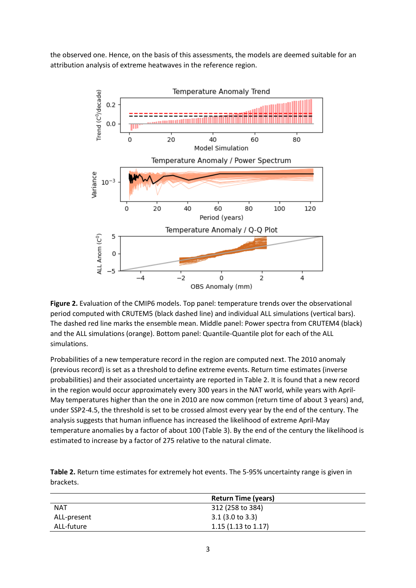the observed one. Hence, on the basis of this assessments, the models are deemed suitable for an attribution analysis of extreme heatwaves in the reference region.



**Figure 2.** Evaluation of the CMIP6 models. Top panel: temperature trends over the observational period computed with CRUTEM5 (black dashed line) and individual ALL simulations (vertical bars). The dashed red line marks the ensemble mean. Middle panel: Power spectra from CRUTEM4 (black) and the ALL simulations (orange). Bottom panel: Quantile-Quantile plot for each of the ALL simulations.

Probabilities of a new temperature record in the region are computed next. The 2010 anomaly (previous record) is set as a threshold to define extreme events. Return time estimates (inverse probabilities) and their associated uncertainty are reported in Table 2. It is found that a new record in the region would occur approximately every 300 years in the NAT world, while years with April-May temperatures higher than the one in 2010 are now common (return time of about 3 years) and, under SSP2-4.5, the threshold is set to be crossed almost every year by the end of the century. The analysis suggests that human influence has increased the likelihood of extreme April-May temperature anomalies by a factor of about 100 (Table 3). By the end of the century the likelihood is estimated to increase by a factor of 275 relative to the natural climate.

**Table 2.** Return time estimates for extremely hot events. The 5-95% uncertainty range is given in brackets.

|             | <b>Return Time (years)</b>     |
|-------------|--------------------------------|
| <b>NAT</b>  | 312 (258 to 384)               |
| ALL-present | $3.1$ (3.0 to 3.3)             |
| ALL-future  | 1.15 $(1.13 \text{ to } 1.17)$ |